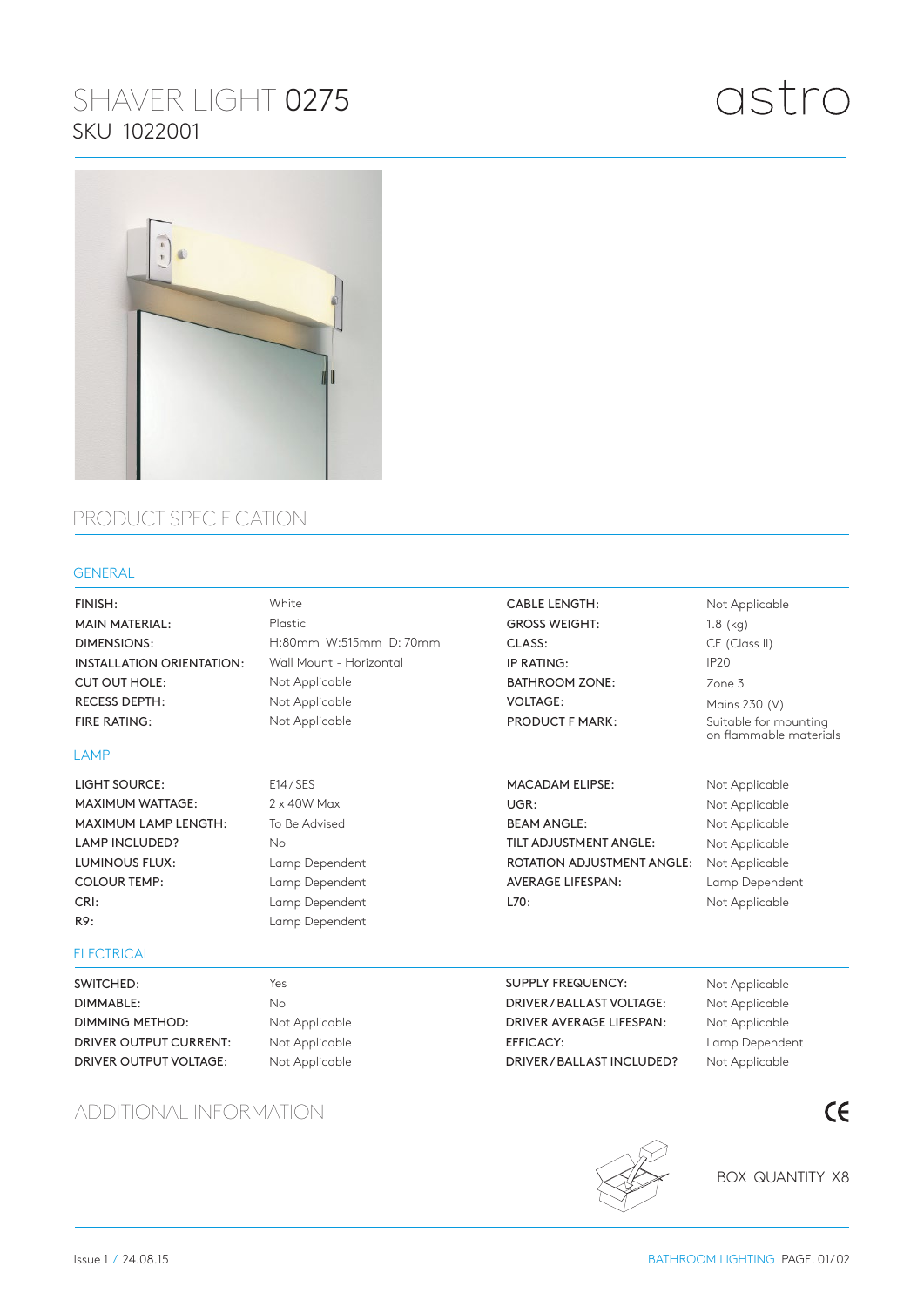# SHAVER LIGHT 0275 SKU 1022001

# astro



### PRODUCT SPECIFICATION

#### GENERAL

| FINISH:                          | White                   | <b>CABLE LENGTH:</b>              | Not Applicable                                  |
|----------------------------------|-------------------------|-----------------------------------|-------------------------------------------------|
| <b>MAIN MATERIAL:</b>            | Plastic                 | <b>GROSS WEIGHT:</b>              | $1.8$ (kg)                                      |
| <b>DIMENSIONS:</b>               | H:80mm W:515mm D:70mm   | CLASS:                            | CE (Class II)                                   |
| <b>INSTALLATION ORIENTATION:</b> | Wall Mount - Horizontal | IP RATING:                        | IP <sub>20</sub>                                |
| <b>CUT OUT HOLE:</b>             | Not Applicable          | <b>BATHROOM ZONE:</b>             | Zone 3                                          |
| <b>RECESS DEPTH:</b>             | Not Applicable          | <b>VOLTAGE:</b>                   | Mains 230 (V)                                   |
| <b>FIRE RATING:</b>              | Not Applicable          | <b>PRODUCT F MARK:</b>            | Suitable for mounting<br>on flammable materials |
| LAMP                             |                         |                                   |                                                 |
| <b>LIGHT SOURCE:</b>             | E14/SES                 | <b>MACADAM ELIPSE:</b>            | Not Applicable                                  |
| <b>MAXIMUM WATTAGE:</b>          | $2 \times 40W$ Max      | UGR:                              | Not Applicable                                  |
| <b>MAXIMUM LAMP LENGTH:</b>      | To Be Advised           | <b>BEAM ANGLE:</b>                | Not Applicable                                  |
| <b>LAMP INCLUDED?</b>            | No                      | TILT ADJUSTMENT ANGLE:            | Not Applicable                                  |
| <b>LUMINOUS FLUX:</b>            | Lamp Dependent          | <b>ROTATION ADJUSTMENT ANGLE:</b> | Not Applicable                                  |
| <b>COLOUR TEMP:</b>              | Lamp Dependent          | <b>AVERAGE LIFESPAN:</b>          | Lamp Dependent                                  |
| CRI:                             | Lamp Dependent          | L70:                              | Not Applicable                                  |
| R9:                              | Lamp Dependent          |                                   |                                                 |
| <b>ELECTRICAL</b>                |                         |                                   |                                                 |
| SWITCHED:                        | Yes                     | <b>SUPPLY FREQUENCY:</b>          | Not Applicable                                  |
| <b>DIMMABLE:</b>                 | No                      | DRIVER / BALLAST VOLTAGE:         | Not Applicable                                  |
| <b>DIMMING METHOD:</b>           | Not Applicable          | DRIVER AVERAGE LIFESPAN:          | Not Applicable                                  |
| <b>DRIVER OUTPUT CURRENT:</b>    | Not Applicable          | <b>EFFICACY:</b>                  | Lamp Dependent                                  |
| DRIVER OUTPUT VOLTAGE:           | Not Applicable          | DRIVER / BALLAST INCLUDED?        | Not Applicable                                  |
| ADDITIONAL INFORMATION           |                         |                                   | $\epsilon$                                      |

#### ADDITIONAL INFORMATION



BOX QUANTITY X8